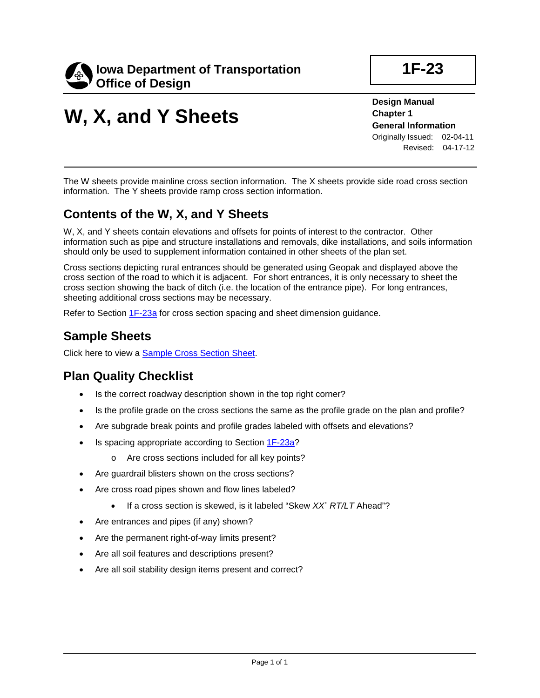

# **W, X, and Y Sheets**

**Design Manual Chapter 1 General Information** Originally Issued: 02-04-11 Revised: 04-17-12

The W sheets provide mainline cross section information. The X sheets provide side road cross section information. The Y sheets provide ramp cross section information.

### **Contents of the W, X, and Y Sheets**

W, X, and Y sheets contain elevations and offsets for points of interest to the contractor. Other information such as pipe and structure installations and removals, dike installations, and soils information should only be used to supplement information contained in other sheets of the plan set.

Cross sections depicting rural entrances should be generated using Geopak and displayed above the cross section of the road to which it is adjacent. For short entrances, it is only necessary to sheet the cross section showing the back of ditch (i.e. the location of the entrance pipe). For long entrances, sheeting additional cross sections may be necessary.

Refer to Section 1F-23a for cross section spacing and sheet dimension guidance.

#### **Sample Sheets**

Click here to view a Sample Cross Section Sheet.

#### **Plan Quality Checklist**

- Is the correct roadway description shown in the top right corner?
- Is the profile grade on the cross sections the same as the profile grade on the plan and profile?
- Are subgrade break points and profile grades labeled with offsets and elevations?
- Is spacing appropriate according to Section 1F-23a?
	- o Are cross sections included for all key points?
- Are guardrail blisters shown on the cross sections?
- Are cross road pipes shown and flow lines labeled?
	- If a cross section is skewed, is it labeled "Skew *XX*˚ *RT/LT* Ahead"?
- Are entrances and pipes (if any) shown?
- Are the permanent right-of-way limits present?
- Are all soil features and descriptions present?
- Are all soil stability design items present and correct?